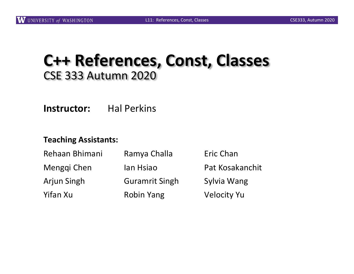### **C++ References, Const, Classes** CSE 333 Autumn 2020

**Instructor:** Hal Perkins

#### **Teaching Assistants:**

| Rehaan Bhimani | Ramya Challa          | Eric Chan          |
|----------------|-----------------------|--------------------|
| Menggi Chen    | lan Hsiao             | Pat Kosakanchit    |
| Arjun Singh    | <b>Guramrit Singh</b> | Sylvia Wang        |
| Yifan Xu       | <b>Robin Yang</b>     | <b>Velocity Yu</b> |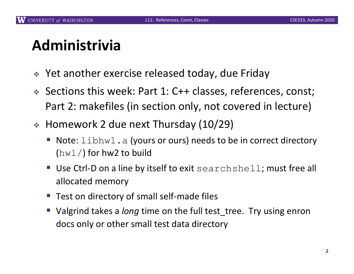## **Administrivia**

- $\div$  Yet another exercise released today, due Friday
- ◆ Sections this week: Part 1: C++ classes, references, const; Part 2: makefiles (in section only, not covered in lecture)
- $\div$  Homework 2 due next Thursday (10/29)
	- Note:  $\text{libhw1.}a$  (yours or ours) needs to be in correct directory  $(hw1/)$  for hw2 to build
	- Use Ctrl-D on a line by itself to exit searchshell; must free all allocated memory
	- Test on directory of small self-made files
	- Valgrind takes a *long* time on the full test\_tree. Try using enron docs only or other small test data directory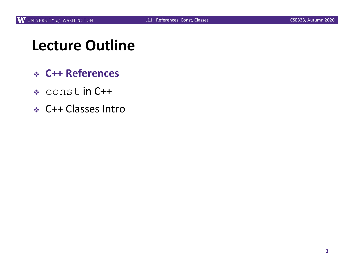## **Lecture Outline**

- <sup>v</sup> **C++ References**
- <sup>v</sup> const in C++
- <sup>v</sup> C++ Classes Intro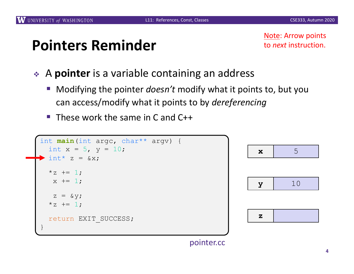Note: Arrow points to *next* instruction.

**x** 5

**y** 10

**z**

- **↓** A **pointer** is a variable containing an address
	- § Modifying the pointer *doesn't* modify what it points to, but you can access/modify what it points to by *dereferencing*
	- $\blacksquare$  These work the same in C and C++

```
int main(int argc, char** argv) {
  int x = 5, y = 10;
 int^* z = \&x;*_{Z} += 1;
   x += 1;
   z = \delta y;*_{Z} += 1;
  return EXIT_SUCCESS;
}
```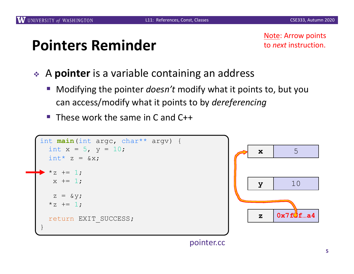Note: Arrow points to *next* instruction.

- **↓** A **pointer** is a variable containing an address
	- § Modifying the pointer *doesn't* modify what it points to, but you can access/modify what it points to by *dereferencing*
	- $\blacksquare$  These work the same in C and C++

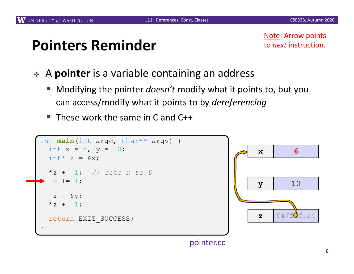Note: Arrow points to *next* instruction.

- **↓** A **pointer** is a variable containing an address
	- § Modifying the pointer *doesn't* modify what it points to, but you can access/modify what it points to by *dereferencing*
	- $\blacksquare$  These work the same in C and C++

```
int main(int argc, char** argv) {
  int x = 5, y = 10;
  int^* z = \&x;*z += 1; // sets x to 6
   x += 1;
   z = \delta y;*_{Z} += 1;
  return EXIT_SUCCESS;
}
```


**x 6**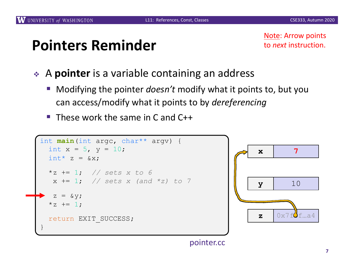Note: Arrow points to *next* instruction.

- **↓** A **pointer** is a variable containing an address
	- § Modifying the pointer *doesn't* modify what it points to, but you can access/modify what it points to by *dereferencing*
	- $\blacksquare$  These work the same in C and C++

```
int main(int argc, char** argv) {
  int x = 5, y = 10;
  int^* z = \&x;*z += 1; // sets x to 6
   x += 1; // sets x (and *z) to 7
   z = \delta y;*_{Z} += 1;
  return EXIT_SUCCESS;
}
```
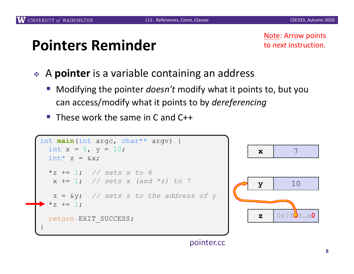Note: Arrow points to *next* instruction.

- **↓** A **pointer** is a variable containing an address
	- § Modifying the pointer *doesn't* modify what it points to, but you can access/modify what it points to by *dereferencing*
	- $\blacksquare$  These work the same in C and C++

```
int main(int argc, char** argv) {
  int x = 5, y = 10;
  int^* z = \&x;*z += 1; // sets x to 6
  x += 1; // sets x (and *z) to 7
   z = &y; // sets z to the address of y
  *_{Z} += 1;
 return EXIT SUCCESS;
}
```
**x** 7 **y** 10 **z** 0x7fff…a**0**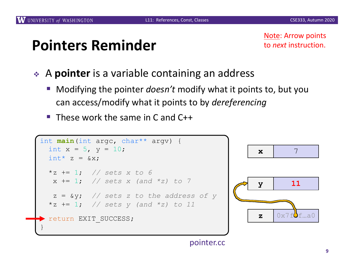Note: Arrow points to *next* instruction.

- **↓** A **pointer** is a variable containing an address
	- § Modifying the pointer *doesn't* modify what it points to, but you can access/modify what it points to by *dereferencing*
	- $\blacksquare$  These work the same in C and C++



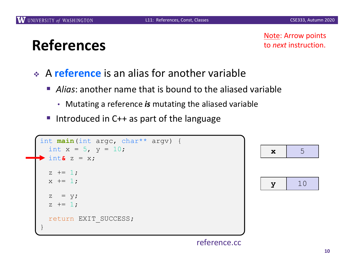- <sup>v</sup> A **reference** is an alias for another variable
	- § *Alias*: another name that is bound to the aliased variable
		- Mutating a reference *is* mutating the aliased variable
	- § Introduced in C++ as part of the language

```
int main(int argc, char** argv) {
 int x = 5, y = 10;
 int\&z = x;z += 1;
 x += 1;
  z = y;z += 1;
 return EXIT_SUCCESS;
}
                                                       x 5
                                                      y \vert 10
```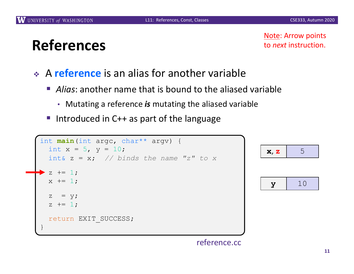- <sup>v</sup> A **reference** is an alias for another variable
	- § *Alias*: another name that is bound to the aliased variable
		- Mutating a reference *is* mutating the aliased variable
	- § Introduced in C++ as part of the language

```
int main(int argc, char** argv) {
  int x = 5, y = 10;
  int& z = x; // binds the name "z" to x
  z += 1;
  x + = 1;
  z = y;z += 1;
  return EXIT_SUCCESS;
}
                                                            \mathbf{x}, \mathbf{z} 5
                                                             y \vert 10
```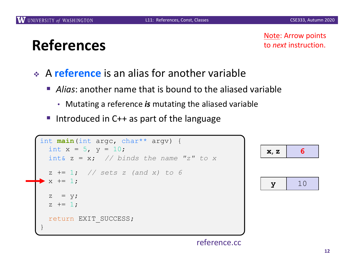- <sup>v</sup> A **reference** is an alias for another variable
	- § *Alias*: another name that is bound to the aliased variable
		- Mutating a reference *is* mutating the aliased variable
	- § Introduced in C++ as part of the language

```
int main(int argc, char** argv) {
 int x = 5, y = 10;
 int& z = x; // binds the name "z" to x
  z += 1; // sets z (and x) to 6
 x \neq 1;z = y;z += 1;
 return EXIT_SUCCESS;
}
```


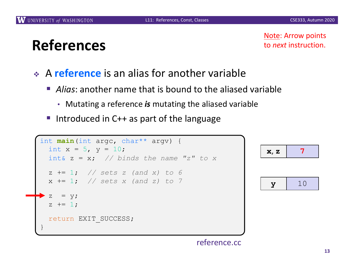- <sup>v</sup> A **reference** is an alias for another variable
	- § *Alias*: another name that is bound to the aliased variable
		- Mutating a reference *is* mutating the aliased variable
	- § Introduced in C++ as part of the language

```
int main(int argc, char** argv) {
 int x = 5, y = 10;
 int& z = x; // binds the name "z" to x
 z += 1; // sets z (and x) to 6
 x += 1; // sets x (and z) to 7
  z = y;z += 1;
 return EXIT_SUCCESS;
}
```
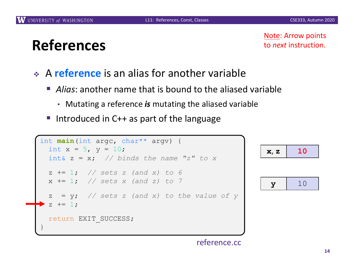- <sup>v</sup> A **reference** is an alias for another variable
	- § *Alias*: another name that is bound to the aliased variable
		- Mutating a reference *is* mutating the aliased variable
	- § Introduced in C++ as part of the language

```
int main(int argc, char** argv) {
 int x = 5, y = 10;
 int& z = x; // binds the name "z" to x
 z += 1; // sets z (and x) to 6
 x += 1; // sets x (and z) to 7
  z = y; // sets z (and x) to the value of y
 z += 1;
 return EXIT SUCCESS;
}
                                                     x, z \mid 10y \vert 10
```
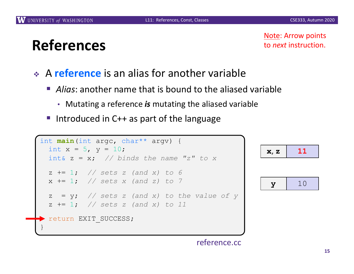- <sup>v</sup> A **reference** is an alias for another variable
	- § *Alias*: another name that is bound to the aliased variable
		- Mutating a reference *is* mutating the aliased variable
	- § Introduced in C++ as part of the language



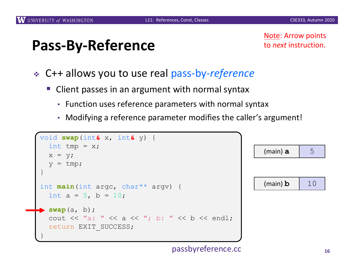Note: Arrow points to *next* instruction.

- <sup>v</sup> C++ allows you to use real pass-by-*reference*
	- Client passes in an argument with normal syntax
		- Function uses reference parameters with normal syntax
		- Modifying a reference parameter modifies the caller's argument!

```
void swap(int& x, int& y) {
  int tmp = x;
  x = y;y = tmp;}
int main(int argc, char** argv) {
 int a = 5, b = 10;
 swap(a, b);
  cout << "a: " << a << "; b: " << b << endl;
  return EXIT_SUCCESS;
}
```

| (main) a          |                |
|-------------------|----------------|
|                   |                |
| $(main)$ <b>b</b> | 1 <sub>0</sub> |
|                   |                |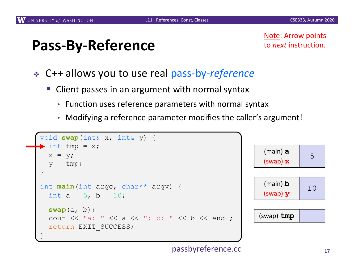Note: Arrow points to *next* instruction.

- <sup>v</sup> C++ allows you to use real pass-by-*reference*
	- Client passes in an argument with normal syntax
		- Function uses reference parameters with normal syntax
		- Modifying a reference parameter modifies the caller's argument!

```
void swap(int& x, int& y) {
 int tmp = x;
  x = y;y = tmp;}
int main(int argc, char** argv) {
  int a = 5, b = 10;
  swap(a, b);
  cout << "a: " << a << "; b: " << b << endl;
  return EXIT_SUCCESS;
}
```

```
(main) a
 (swap) x
                5
 (main) b
 (swap) y
               10
(swap) tmp
```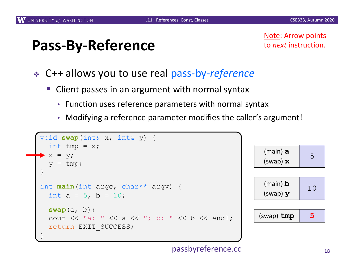- <sup>v</sup> C++ allows you to use real pass-by-*reference*
	- Client passes in an argument with normal syntax
		- Function uses reference parameters with normal syntax
		- Modifying a reference parameter modifies the caller's argument!

```
void swap(int& x, int& y) {
  int tmp = x;
 \cdot x = y;
  y = tmp;}
int main(int argc, char** argv) {
  int a = 5, b = 10;
  swap(a, b);
  cout << "a: " << a << "; b: " << b << endl;
  return EXIT_SUCCESS;
}
```
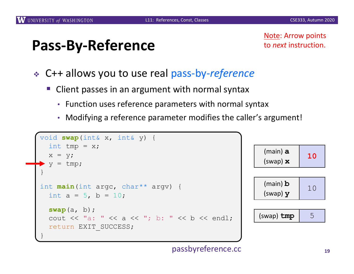**10**

10

### **Pass-By-Reference**

Note: Arrow points to *next* instruction.

- <sup>v</sup> C++ allows you to use real pass-by-*reference*
	- Client passes in an argument with normal syntax
		- Function uses reference parameters with normal syntax
		- Modifying a reference parameter modifies the caller's argument!

```
void swap(int& x, int& y) {
  int tmp = x;
  x = y;y = tmp;}
int main(int argc, char** argv) {
  int a = 5, b = 10;
  swap(a, b);
  cout << "a: " << a << "; b: " << b << endl;
  return EXIT_SUCCESS;
}
                                                         (main) a
                                                         (swap) x
                                                         (main) b
                                                         (swap) y
                                                        (swap) tmp \vert 5
```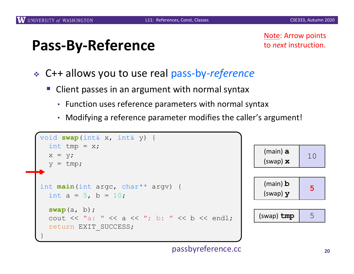10

**5**

### **Pass-By-Reference**

Note: Arrow points to *next* instruction.

- <sup>v</sup> C++ allows you to use real pass-by-*reference*
	- Client passes in an argument with normal syntax
		- Function uses reference parameters with normal syntax
		- Modifying a reference parameter modifies the caller's argument!

```
void swap(int& x, int& y) {
  int tmp = x;
  x = y;y = tmp;}
int main(int argc, char** argv) {
  int a = 5, b = 10;
  swap(a, b);
  cout << "a: " << a << "; b: " << b << endl;
  return EXIT_SUCCESS;
}
                                                         (main) a
                                                         (swap) x
                                                         (main) b
                                                         (swap) y
                                                        (swap) tmp \vert 5
```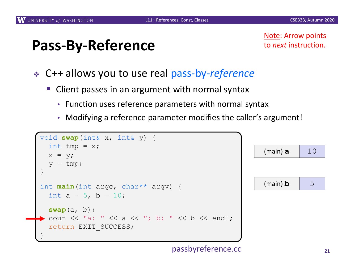Note: Arrow points to *next* instruction.

 $(main) a 10$ 

 $(main)$ **b**  $\vert$  5

- <sup>v</sup> C++ allows you to use real pass-by-*reference*
	- Client passes in an argument with normal syntax
		- Function uses reference parameters with normal syntax
		- Modifying a reference parameter modifies the caller's argument!

```
void swap(int& x, int& y) {
  int tmp = x;
  x = y;y = tmp;}
int main(int argc, char** argv) {
  int a = 5, b = 10;
  swap(a, b);
 cout << "a: " << a << "; b: " << b << endl;
  return EXIT_SUCCESS;
}
```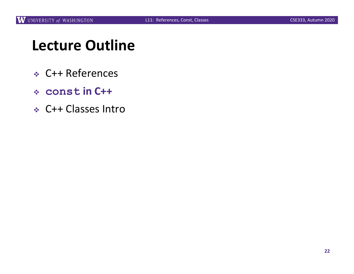# **Lecture Outline**

- <sup>v</sup> C++ References
- <sup>v</sup> **const in C++**
- <sup>v</sup> C++ Classes Intro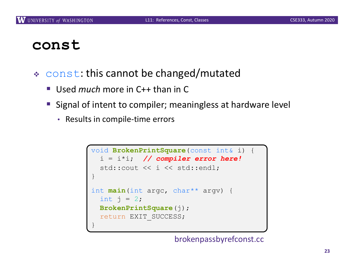### **const**

- $\cdot$  const: this cannot be changed/mutated
	- Used *much* more in C++ than in C
	- Signal of intent to compiler; meaningless at hardware level
		- Results in compile-time errors

```
void BrokenPrintSquare(const int& i) {
  i = i*i; // compiler error here!
  std:: cout << i << std:: endl;
}
int main(int argc, char** argv) {
  int j = 2;
  BrokenPrintSquare(j);
  return EXIT_SUCCESS;
}
```
#### brokenpassbyrefconst.cc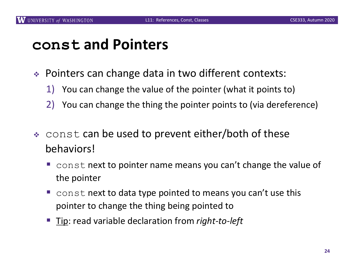### **const and Pointers**

- ◆ Pointers can change data in two different contexts:
	- 1) You can change the value of the pointer (what it points to)
	- 2) You can change the thing the pointer points to (via dereference)
- $\div$  const can be used to prevent either/both of these behaviors!
	- § const next to pointer name means you can't change the value of the pointer
	- $\blacksquare$  const next to data type pointed to means you can't use this pointer to change the thing being pointed to
	- § Tip: read variable declaration from *right-to-left*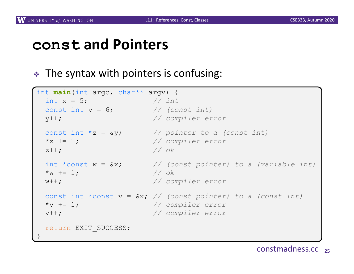### **const and Pointers**

 $\cdot$  The syntax with pointers is confusing:

```
int main(int argc, char** argv) {
 int x = 5; // int
 const int y = 6; // (const int)
 y++; // compiler error
 const int *z = &y; // pointer to a (const int)
 *z += 1; // compiler error
 z++; // ok
 int *const w = &x; // (const pointer) to a (variable int)
 *w += 1; // ok
 w++; // compiler error
 const int *const v = &x; // (const pointer) to a (const int)
 *v += 1; // compiler error
 v++; // compiler error
 return EXIT_SUCCESS;
}
```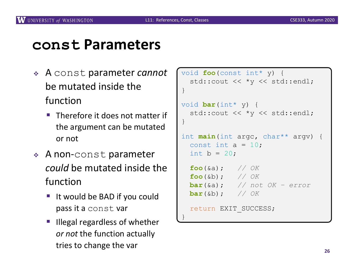### **const Parameters**

- <sup>v</sup> A const parameter *cannot* be mutated inside the function
	- $\blacksquare$  Therefore it does not matter if the argument can be mutated or not
- $\triangleleft$  A non-const parameter *could* be mutated inside the function
	- It would be BAD if you could pass it a const var
	- § Illegal regardless of whether *or not* the function actually tries to change the var **26** and 26 and 26 and 26 and 26 and 27 and 27 and 27 and 27 and 27 and 27 and 27 and 27 and 27 and 27 and 27 and 27 and 27 and 27 and 27 and 27 and 27 and 27 and 27 and 27 and 27 and 27 and 27 and

```
void foo(const int* y) {
  std::cout << *y << std::endl;
}
void bar(int* y) {
  std:: cout << *v << std:: endl;
}
int main(int argc, char** argv) {
  const int a = 10:
  int b = 20;
  foo(&a); // OK
  foo(&b); // OK
  bar(&a); // not OK – error
  bar(&b); // OK
  return EXIT_SUCCESS;
}
```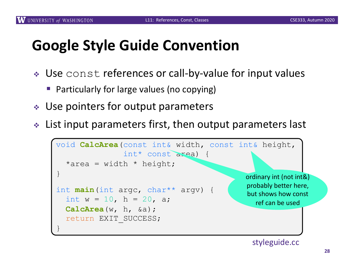# **Google Style Guide Convention**

- \* Use const references or call-by-value for input values
	- Particularly for large values (no copying)
- $\cdot$  Use pointers for output parameters
- $\cdot$  List input parameters first, then output parameters last

```
void CalcArea(const int& width, const int& height,
                int* const area) {
  *area = width * height;
}
int main(int argc, char** argv) {
  int w = 10, h = 20, a;
  CalcArea(w, h, &a);
  return EXIT_SUCCESS;
}
                                              ordinary int (not int&)
                                              probably better here,
                                               but shows how const
                                                 ref can be used
```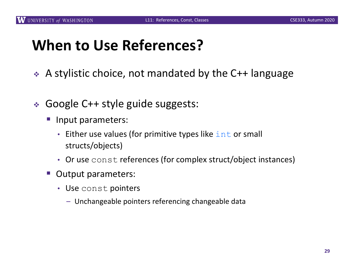## **When to Use References?**

- ◆ A stylistic choice, not mandated by the C++ language
- ◆ Google C++ style guide suggests:
	- **Input parameters:** 
		- Either use values (for primitive types like  $int$  or small structs/objects)
		- Or use const references (for complex struct/object instances)
	- Output parameters:
		- Use const pointers
			- Unchangeable pointers referencing changeable data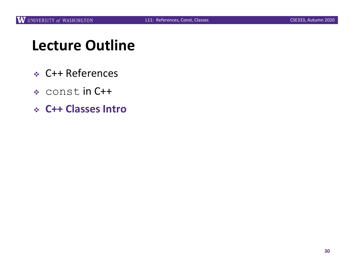# **Lecture Outline**

- <sup>v</sup> C++ References
- <sup>v</sup> const in C++
- <sup>v</sup> **C++ Classes Intro**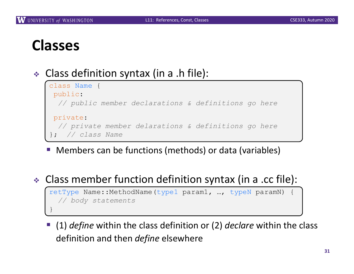### **Classes**

 $\triangleleft$  Class definition syntax (in a .h file):

```
class Name {
public:
  // public member declarations & definitions go here
private:
  // private member delarations & definitions go here
   }; // class Name
```
- § Members can be functions (methods) or data (variables)
- <sup>v</sup> Class member function definition syntax (in a .cc file):

retType Name::MethodName(type1 param1, ..., typeN paramN) *// body statements* }

■ (1) *define* within the class definition or (2) *declare* within the class definition and then *define* elsewhere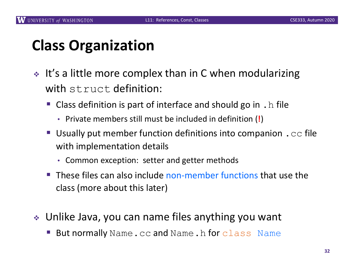### **Class Organization**

- $\cdot$  It's a little more complex than in C when modularizing with struct definition:
	- Class definition is part of interface and should go in .  $h$  file
		- Private members still must be included in definition (**!**)
	- Usually put member function definitions into companion. cc file with implementation details
		- Common exception: setter and getter methods
	- § These files can also include non-member functions that use the class (more about this later)
- $\cdot$  Unlike Java, you can name files anything you want
	- But normally Name.cc and Name.h for class Name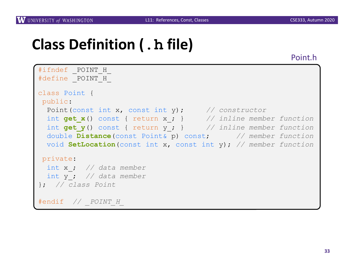# **Class Definition (.h file)**

Point.h

```
#ifndef _POINT_H_
#define _POINT_H_
class Point {
public:
 Point(const int x, const int y); // constructor
 int get_x() const { return x_; } // inline member function
 int get_y() const { return y_; } // inline member function
 double Distance(const Point& p) const; // member function
 void SetLocation(const int x, const int y); // member function
private:
 int x_; // data member
 int y_; // data member
}; // class Point
#endif // _POINT_H_
```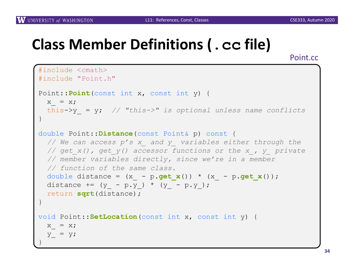## **Class Member Definitions (.cc file)**

#### Point.cc

```
#include <cmath>
#include "Point.h"
Point::Point(const int x, const int y) {
 x = x;this->y_ = y; // "this->" is optional unless name conflicts
}
double Point::Distance(const Point& p) const {
  // We can access p's x_ and y_ variables either through the
  // get_x(), get_y() accessor functions or the x_, y_ private
  // member variables directly, since we're in a member
  // function of the same class.
  double distance = (x - p.get x()) * (x - p.get x));
  distance += (y - p.y) * (y - p.y);
  return sqrt(distance);
}
void Point::SetLocation(const int x, const int y) {
 X = X;y = y;}
```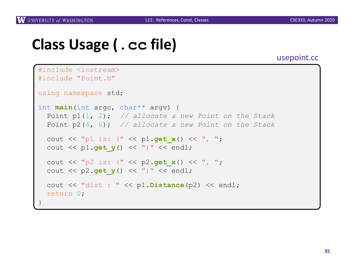# **Class Usage (.cc file)**

#### usepoint.cc

```
#include <iostream>
#include "Point.h"
using namespace std;
int main(int argc, char** argv) {
 Point p1(1, 2); // allocate a new Point on the Stack
 Point p2(4, 6); // allocate a new Point on the Stack
  cout << "p1 is: (" << p1.get_x() << ", ";
  cout << p1.get_y() << ")" << endl;
  cout << "p2 is: (" << p2.get_x() << ", ";
  cout << p2.get_y() << ")" << endl;
  cout << "dist : " << p1.Distance(p2) << endl;
  return 0;
}
```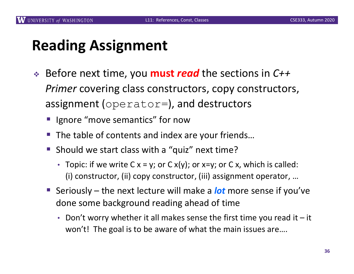### **Reading Assignment**

- <sup>v</sup> Before next time, you **must** *read* the sections in *C++ Primer* covering class constructors, copy constructors, assignment (operator=), and destructors
	- Ignore "move semantics" for now
	- The table of contents and index are your friends...
	- § Should we start class with a "quiz" next time?
		- Topic: if we write  $C x = y$ ; or  $C x(y)$ ; or  $x=y$ ; or  $C x$ , which is called: (i) constructor, (ii) copy constructor, (iii) assignment operator, …
	- § Seriously the next lecture will make a *lot* more sense if you've done some background reading ahead of time
		- Don't worry whether it all makes sense the first time you read it  $-$  it won't! The goal is to be aware of what the main issues are….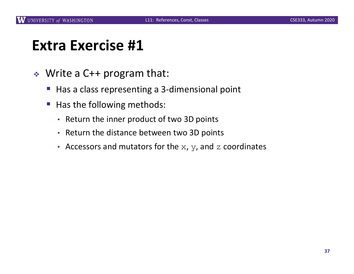### **Extra Exercise #1**

- $\triangleleft$  Write a C++ program that:
	- Has a class representing a 3-dimensional point
	- Has the following methods:
		- Return the inner product of two 3D points
		- Return the distance between two 3D points
		- Accessors and mutators for the  $x$ ,  $y$ , and  $z$  coordinates